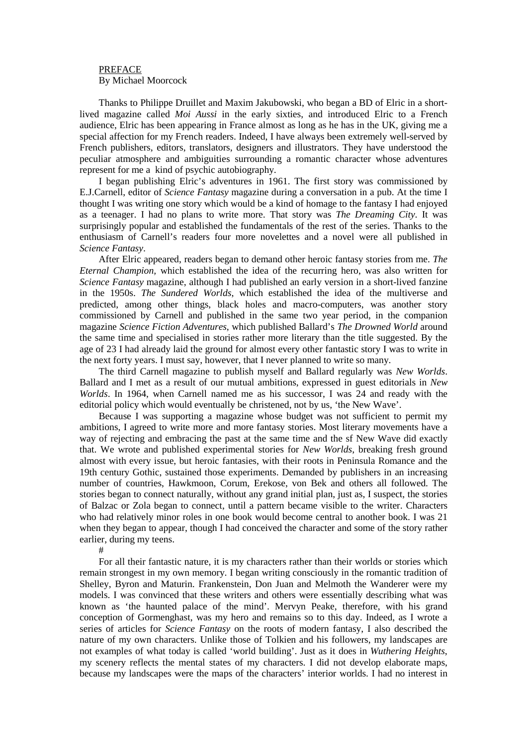## PREFACE By Michael Moorcock

Thanks to Philippe Druillet and Maxim Jakubowski, who began a BD of Elric in a shortlived magazine called *Moi Aussi* in the early sixties, and introduced Elric to a French audience, Elric has been appearing in France almost as long as he has in the UK, giving me a special affection for my French readers. Indeed, I have always been extremely well-served by French publishers, editors, translators, designers and illustrators. They have understood the peculiar atmosphere and ambiguities surrounding a romantic character whose adventures represent for me a kind of psychic autobiography.

I began publishing Elric's adventures in 1961. The first story was commissioned by E.J.Carnell, editor of *Science Fantasy* magazine during a conversation in a pub. At the time I thought I was writing one story which would be a kind of homage to the fantasy I had enjoyed as a teenager. I had no plans to write more. That story was *The Dreaming City.* It was surprisingly popular and established the fundamentals of the rest of the series. Thanks to the enthusiasm of Carnell's readers four more novelettes and a novel were all published in *Science Fantasy*.

After Elric appeared, readers began to demand other heroic fantasy stories from me. *The Eternal Champion,* which established the idea of the recurring hero, was also written for *Science Fantasy* magazine, although I had published an early version in a short-lived fanzine in the 1950s. *The Sundered Worlds*, which established the idea of the multiverse and predicted, among other things, black holes and macro-computers, was another story commissioned by Carnell and published in the same two year period, in the companion magazine *Science Fiction Adventures*, which published Ballard's *The Drowned World* around the same time and specialised in stories rather more literary than the title suggested. By the age of 23 I had already laid the ground for almost every other fantastic story I was to write in the next forty years. I must say, however, that I never planned to write so many.

The third Carnell magazine to publish myself and Ballard regularly was *New Worlds*. Ballard and I met as a result of our mutual ambitions, expressed in guest editorials in *New Worlds*. In 1964, when Carnell named me as his successor, I was 24 and ready with the editorial policy which would eventually be christened, not by us, 'the New Wave'.

Because I was supporting a magazine whose budget was not sufficient to permit my ambitions, I agreed to write more and more fantasy stories. Most literary movements have a way of rejecting and embracing the past at the same time and the sf New Wave did exactly that. We wrote and published experimental stories for *New Worlds*, breaking fresh ground almost with every issue, but heroic fantasies, with their roots in Peninsula Romance and the 19th century Gothic, sustained those experiments. Demanded by publishers in an increasing number of countries, Hawkmoon, Corum, Erekose, von Bek and others all followed. The stories began to connect naturally, without any grand initial plan, just as, I suspect, the stories of Balzac or Zola began to connect, until a pattern became visible to the writer. Characters who had relatively minor roles in one book would become central to another book. I was 21 when they began to appear, though I had conceived the character and some of the story rather earlier, during my teens.

#

For all their fantastic nature, it is my characters rather than their worlds or stories which remain strongest in my own memory. I began writing consciously in the romantic tradition of Shelley, Byron and Maturin. Frankenstein, Don Juan and Melmoth the Wanderer were my models. I was convinced that these writers and others were essentially describing what was known as 'the haunted palace of the mind'. Mervyn Peake, therefore, with his grand conception of Gormenghast, was my hero and remains so to this day. Indeed, as I wrote a series of articles for *Science Fantasy* on the roots of modern fantasy, I also described the nature of my own characters. Unlike those of Tolkien and his followers, my landscapes are not examples of what today is called 'world building'. Just as it does in *Wuthering Heights*, my scenery reflects the mental states of my characters. I did not develop elaborate maps, because my landscapes were the maps of the characters' interior worlds. I had no interest in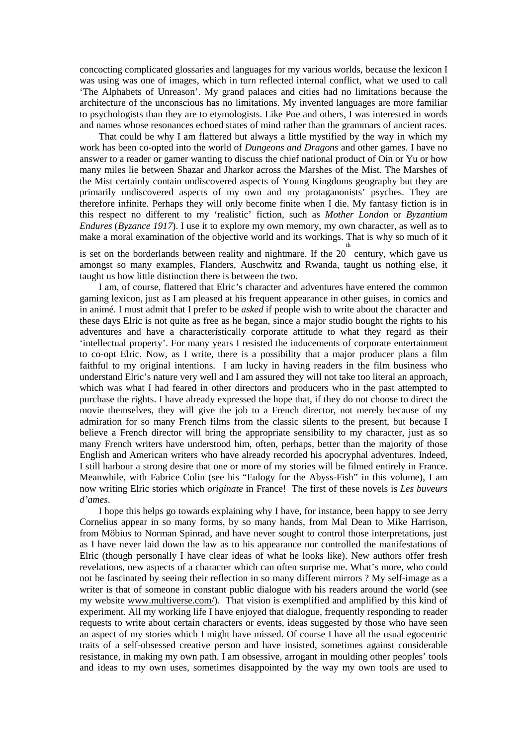concocting complicated glossaries and languages for my various worlds, because the lexicon I was using was one of images, which in turn reflected internal conflict, what we used to call 'The Alphabets of Unreason'. My grand palaces and cities had no limitations because the architecture of the unconscious has no limitations. My invented languages are more familiar to psychologists than they are to etymologists. Like Poe and others, I was interested in words and names whose resonances echoed states of mind rather than the grammars of ancient races.

That could be why I am flattered but always a little mystified by the way in which my work has been co-opted into the world of *Dungeons and Dragons* and other games. I have no answer to a reader or gamer wanting to discuss the chief national product of Oin or Yu or how many miles lie between Shazar and Jharkor across the Marshes of the Mist. The Marshes of the Mist certainly contain undiscovered aspects of Young Kingdoms geography but they are primarily undiscovered aspects of my own and my protaganonists' psyches. They are therefore infinite. Perhaps they will only become finite when I die. My fantasy fiction is in this respect no different to my 'realistic' fiction, such as *Mother London* or *Byzantium Endures* (*Byzance 1917*). I use it to explore my own memory, my own character, as well as to make a moral examination of the objective world and its workings. That is why so much of it

is set on the borderlands between reality and nightmare. If the  $20<sup>th</sup>$  century, which gave us amongst so many examples, Flanders, Auschwitz and Rwanda, taught us nothing else, it taught us how little distinction there is between the two.

I am, of course, flattered that Elric's character and adventures have entered the common gaming lexicon, just as I am pleased at his frequent appearance in other guises, in comics and in animé. I must admit that I prefer to be *asked* if people wish to write about the character and these days Elric is not quite as free as he began, since a major studio bought the rights to his adventures and have a characteristically corporate attitude to what they regard as their 'intellectual property'. For many years I resisted the inducements of corporate entertainment to co-opt Elric. Now, as I write, there is a possibility that a major producer plans a film faithful to my original intentions. I am lucky in having readers in the film business who understand Elric's nature very well and I am assured they will not take too literal an approach, which was what I had feared in other directors and producers who in the past attempted to purchase the rights. I have already expressed the hope that, if they do not choose to direct the movie themselves, they will give the job to a French director, not merely because of my admiration for so many French films from the classic silents to the present, but because I believe a French director will bring the appropriate sensibility to my character, just as so many French writers have understood him, often, perhaps, better than the majority of those English and American writers who have already recorded his apocryphal adventures. Indeed, I still harbour a strong desire that one or more of my stories will be filmed entirely in France. Meanwhile, with Fabrice Colin (see his "Eulogy for the Abyss-Fish" in this volume), I am now writing Elric stories which *originate* in France! The first of these novels is *Les buveurs d'ames*.

I hope this helps go towards explaining why I have, for instance, been happy to see Jerry Cornelius appear in so many forms, by so many hands, from Mal Dean to Mike Harrison, from Möbius to Norman Spinrad, and have never sought to control those interpretations, just as I have never laid down the law as to his appearance nor controlled the manifestations of Elric (though personally I have clear ideas of what he looks like). New authors offer fresh revelations, new aspects of a character which can often surprise me. What's more, who could not be fascinated by seeing their reflection in so many different mirrors ? My self-image as a writer is that of someone in constant public dialogue with his readers around the world (see my website [www.multiverse.com/\)](http://www.multiverse.com/). That vision is exemplified and amplified by this kind of experiment. All my working life I have enjoyed that dialogue, frequently responding to reader requests to write about certain characters or events, ideas suggested by those who have seen an aspect of my stories which I might have missed. Of course I have all the usual egocentric traits of a self-obsessed creative person and have insisted, sometimes against considerable resistance, in making my own path. I am obsessive, arrogant in moulding other peoples' tools and ideas to my own uses, sometimes disappointed by the way my own tools are used to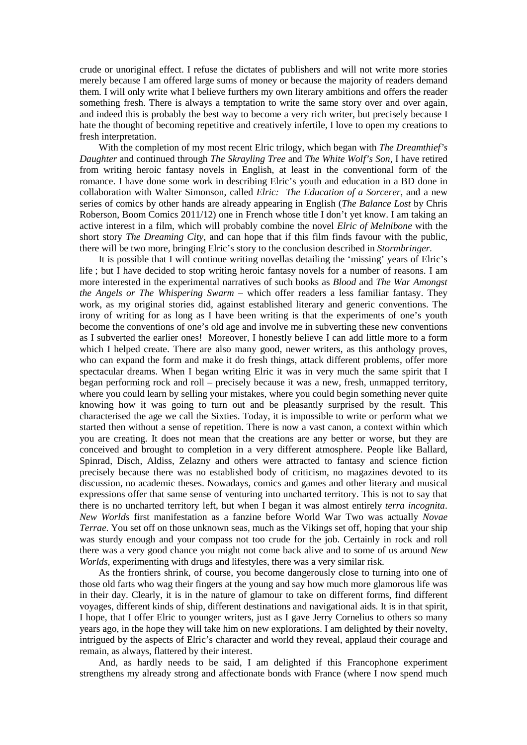crude or unoriginal effect. I refuse the dictates of publishers and will not write more stories merely because I am offered large sums of money or because the majority of readers demand them. I will only write what I believe furthers my own literary ambitions and offers the reader something fresh. There is always a temptation to write the same story over and over again, and indeed this is probably the best way to become a very rich writer, but precisely because I hate the thought of becoming repetitive and creatively infertile, I love to open my creations to fresh interpretation.

With the completion of my most recent Elric trilogy, which began with *The Dreamthief's Daughter* and continued through *The Skrayling Tree* and *The White Wolf's Son,* I have retired from writing heroic fantasy novels in English, at least in the conventional form of the romance. I have done some work in describing Elric's youth and education in a BD done in collaboration with Walter Simonson, called *Elric: The Education of a Sorcerer,* and a new series of comics by other hands are already appearing in English (*The Balance Lost* by Chris Roberson, Boom Comics 2011/12) one in French whose title I don't yet know. I am taking an active interest in a film, which will probably combine the novel *Elric of Melnibone* with the short story *The Dreaming City*, and can hope that if this film finds favour with the public, there will be two more, bringing Elric's story to the conclusion described in *Stormbringer.*

It is possible that I will continue writing novellas detailing the 'missing' years of Elric's life ; but I have decided to stop writing heroic fantasy novels for a number of reasons. I am more interested in the experimental narratives of such books as *Blood* and *The War Amongst the Angels or The Whispering Swarm* – which offer readers a less familiar fantasy. They work, as my original stories did, against established literary and generic conventions. The irony of writing for as long as I have been writing is that the experiments of one's youth become the conventions of one's old age and involve me in subverting these new conventions as I subverted the earlier ones! Moreover, I honestly believe I can add little more to a form which I helped create. There are also many good, newer writers, as this anthology proves, who can expand the form and make it do fresh things, attack different problems, offer more spectacular dreams. When I began writing Elric it was in very much the same spirit that I began performing rock and roll – precisely because it was a new, fresh, unmapped territory, where you could learn by selling your mistakes, where you could begin something never quite knowing how it was going to turn out and be pleasantly surprised by the result. This characterised the age we call the Sixties. Today, it is impossible to write or perform what we started then without a sense of repetition. There is now a vast canon, a context within which you are creating. It does not mean that the creations are any better or worse, but they are conceived and brought to completion in a very different atmosphere. People like Ballard, Spinrad, Disch, Aldiss, Zelazny and others were attracted to fantasy and science fiction precisely because there was no established body of criticism, no magazines devoted to its discussion, no academic theses. Nowadays, comics and games and other literary and musical expressions offer that same sense of venturing into uncharted territory. This is not to say that there is no uncharted territory left, but when I began it was almost entirely *terra incognita*. *New Worlds* first manifestation as a fanzine before World War Two was actually *Novae Terrae*. You set off on those unknown seas, much as the Vikings set off, hoping that your ship was sturdy enough and your compass not too crude for the job. Certainly in rock and roll there was a very good chance you might not come back alive and to some of us around *New Worlds*, experimenting with drugs and lifestyles, there was a very similar risk.

As the frontiers shrink, of course, you become dangerously close to turning into one of those old farts who wag their fingers at the young and say how much more glamorous life was in their day. Clearly, it is in the nature of glamour to take on different forms, find different voyages, different kinds of ship, different destinations and navigational aids. It is in that spirit, I hope, that I offer Elric to younger writers, just as I gave Jerry Cornelius to others so many years ago, in the hope they will take him on new explorations. I am delighted by their novelty, intrigued by the aspects of Elric's character and world they reveal, applaud their courage and remain, as always, flattered by their interest.

And, as hardly needs to be said, I am delighted if this Francophone experiment strengthens my already strong and affectionate bonds with France (where I now spend much